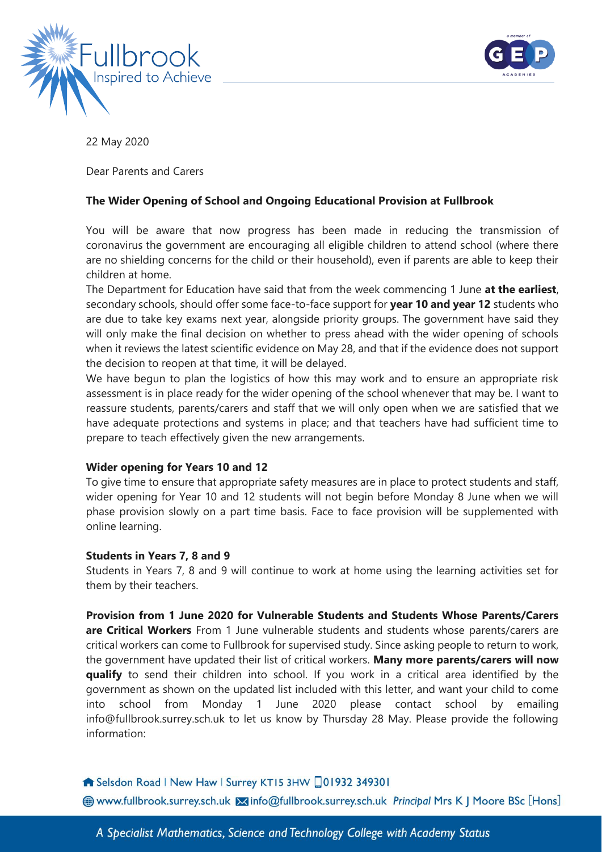



22 May 2020

Dear Parents and Carers

# **The Wider Opening of School and Ongoing Educational Provision at Fullbrook**

You will be aware that now progress has been made in reducing the transmission of coronavirus the government are encouraging all eligible children to attend school (where there are no shielding concerns for the child or their household), even if parents are able to keep their children at home.

The Department for Education have said that from the week commencing 1 June **at the earliest**, secondary schools, should offer some face-to-face support for **year 10 and year 12** students who are due to take key exams next year, alongside priority groups. The government have said they will only make the final decision on whether to press ahead with the wider opening of schools when it reviews the latest scientific evidence on May 28, and that if the evidence does not support the decision to reopen at that time, it will be delayed.

We have begun to plan the logistics of how this may work and to ensure an appropriate risk assessment is in place ready for the wider opening of the school whenever that may be. I want to reassure students, parents/carers and staff that we will only open when we are satisfied that we have adequate protections and systems in place; and that teachers have had sufficient time to prepare to teach effectively given the new arrangements.

### **Wider opening for Years 10 and 12**

To give time to ensure that appropriate safety measures are in place to protect students and staff, wider opening for Year 10 and 12 students will not begin before Monday 8 June when we will phase provision slowly on a part time basis. Face to face provision will be supplemented with online learning.

#### **Students in Years 7, 8 and 9**

Students in Years 7, 8 and 9 will continue to work at home using the learning activities set for them by their teachers.

**Provision from 1 June 2020 for Vulnerable Students and Students Whose Parents/Carers are Critical Workers** From 1 June vulnerable students and students whose parents/carers are critical workers can come to Fullbrook for supervised study. Since asking people to return to work, the government have updated their list of critical workers. **Many more parents/carers will now qualify** to send their children into school. If you work in a critical area identified by the government as shown on the updated list included with this letter, and want your child to come into school from Monday 1 June 2020 please contact school by emailing info@fullbrook.surrey.sch.uk to let us know by Thursday 28 May. Please provide the following information:

### Selsdon Road | New Haw | Surrey KT15 3HW 01932 349301

Www.fullbrook.surrey.sch.uk Minfo@fullbrook.surrey.sch.uk Principal Mrs K | Moore BSc [Hons]

A Specialist Mathematics, Science and Technology College with Academy Status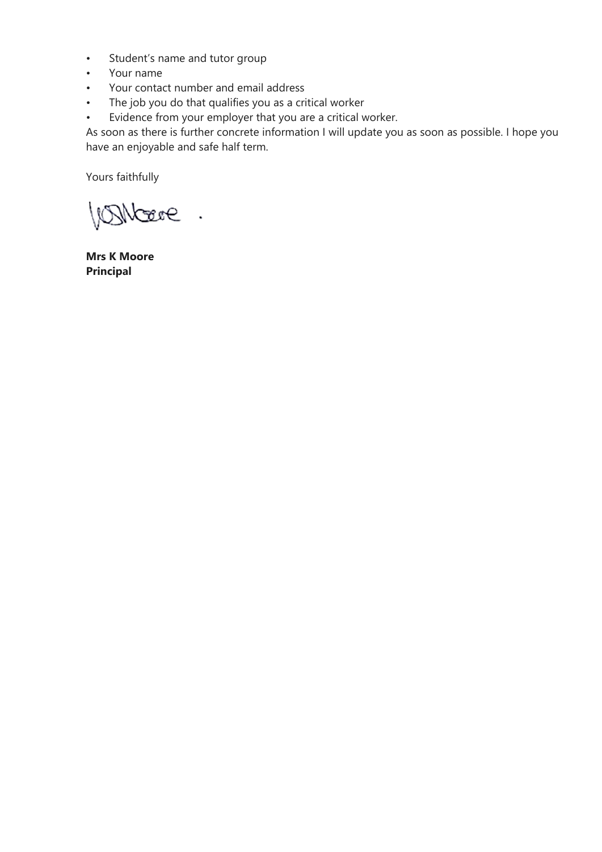- Student's name and tutor group
- Your name
- Your contact number and email address
- The job you do that qualifies you as a critical worker
- Evidence from your employer that you are a critical worker.

As soon as there is further concrete information I will update you as soon as possible. I hope you have an enjoyable and safe half term.

Yours faithfully

Bibere.

**Mrs K Moore Principal**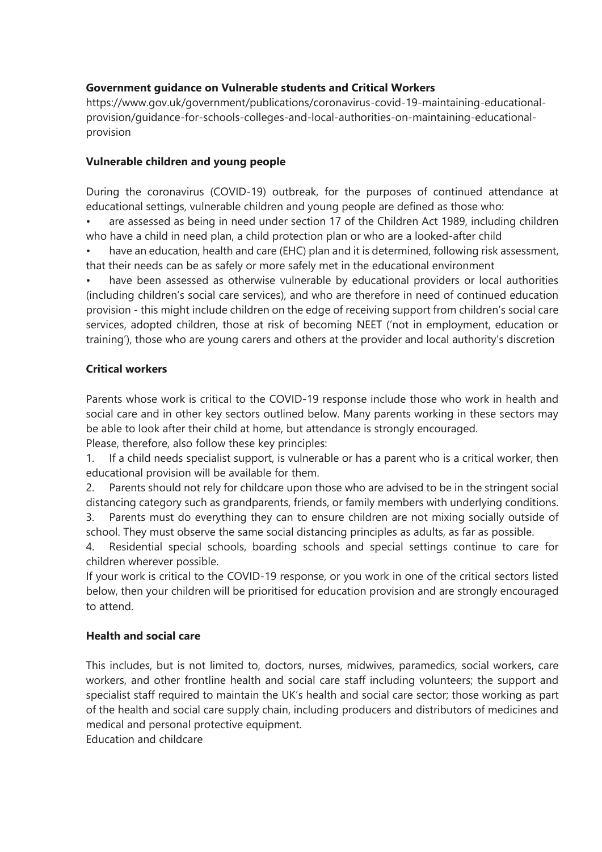# **Government guidance on Vulnerable students and Critical Workers**

https://www.gov.uk/government/publications/coronavirus-covid-19-maintaining-educationalprovision/guidance-for-schools-colleges-and-local-authorities-on-maintaining-educationalprovision

### **Vulnerable children and young people**

During the coronavirus (COVID-19) outbreak, for the purposes of continued attendance at educational settings, vulnerable children and young people are defined as those who:

• are assessed as being in need under section 17 of the Children Act 1989, including children who have a child in need plan, a child protection plan or who are a looked-after child

have an education, health and care (EHC) plan and it is determined, following risk assessment, that their needs can be as safely or more safely met in the educational environment

have been assessed as otherwise vulnerable by educational providers or local authorities (including children's social care services), and who are therefore in need of continued education provision - this might include children on the edge of receiving support from children's social care services, adopted children, those at risk of becoming NEET ('not in employment, education or training'), those who are young carers and others at the provider and local authority's discretion

### **Critical workers**

Parents whose work is critical to the COVID-19 response include those who work in health and social care and in other key sectors outlined below. Many parents working in these sectors may be able to look after their child at home, but attendance is strongly encouraged.

Please, therefore, also follow these key principles:

1. If a child needs specialist support, is vulnerable or has a parent who is a critical worker, then educational provision will be available for them.

2. Parents should not rely for childcare upon those who are advised to be in the stringent social distancing category such as grandparents, friends, or family members with underlying conditions.

3. Parents must do everything they can to ensure children are not mixing socially outside of school. They must observe the same social distancing principles as adults, as far as possible.

4. Residential special schools, boarding schools and special settings continue to care for children wherever possible.

If your work is critical to the COVID-19 response, or you work in one of the critical sectors listed below, then your children will be prioritised for education provision and are strongly encouraged to attend.

### **Health and social care**

This includes, but is not limited to, doctors, nurses, midwives, paramedics, social workers, care workers, and other frontline health and social care staff including volunteers; the support and specialist staff required to maintain the UK's health and social care sector; those working as part of the health and social care supply chain, including producers and distributors of medicines and medical and personal protective equipment.

Education and childcare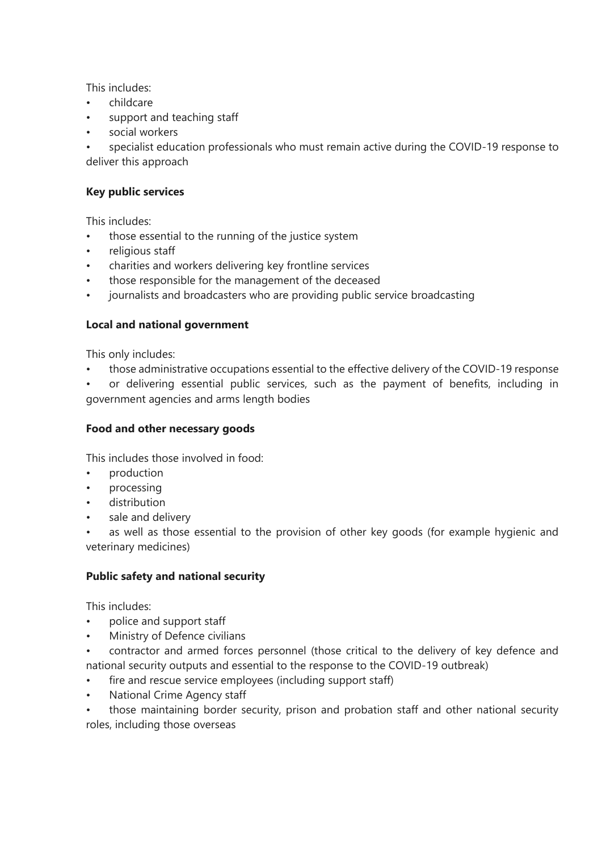This includes:

- childcare
- support and teaching staff
- social workers

• specialist education professionals who must remain active during the COVID-19 response to deliver this approach

# **Key public services**

This includes:

- those essential to the running of the justice system
- religious staff
- charities and workers delivering key frontline services
- those responsible for the management of the deceased
- journalists and broadcasters who are providing public service broadcasting

### **Local and national government**

This only includes:

- those administrative occupations essential to the effective delivery of the COVID-19 response
- or delivering essential public services, such as the payment of benefits, including in government agencies and arms length bodies

### **Food and other necessary goods**

This includes those involved in food:

- production
- processing
- distribution
- sale and delivery

as well as those essential to the provision of other key goods (for example hygienic and veterinary medicines)

### **Public safety and national security**

This includes:

- police and support staff
- Ministry of Defence civilians
- contractor and armed forces personnel (those critical to the delivery of key defence and national security outputs and essential to the response to the COVID-19 outbreak)
- fire and rescue service employees (including support staff)
- National Crime Agency staff
- those maintaining border security, prison and probation staff and other national security roles, including those overseas